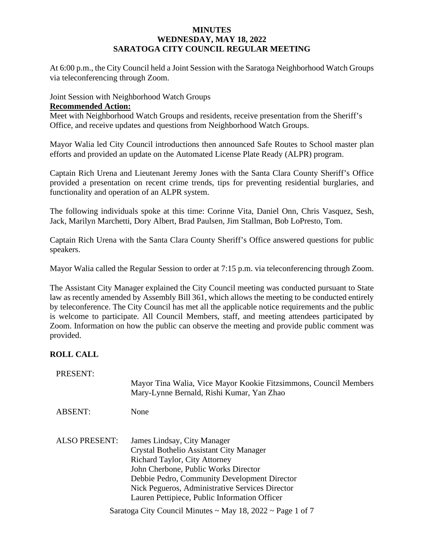### **MINUTES WEDNESDAY, MAY 18, 2022 SARATOGA CITY COUNCIL REGULAR MEETING**

At 6:00 p.m., the City Council held a Joint Session with the Saratoga Neighborhood Watch Groups via teleconferencing through Zoom.

### Joint Session with Neighborhood Watch Groups

#### **Recommended Action:**

Meet with Neighborhood Watch Groups and residents, receive presentation from the Sheriff's Office, and receive updates and questions from Neighborhood Watch Groups.

Mayor Walia led City Council introductions then announced Safe Routes to School master plan efforts and provided an update on the Automated License Plate Ready (ALPR) program.

Captain Rich Urena and Lieutenant Jeremy Jones with the Santa Clara County Sheriff's Office provided a presentation on recent crime trends, tips for preventing residential burglaries, and functionality and operation of an ALPR system.

The following individuals spoke at this time: Corinne Vita, Daniel Onn, Chris Vasquez, Sesh, Jack, Marilyn Marchetti, Dory Albert, Brad Paulsen, Jim Stallman, Bob LoPresto, Tom.

Captain Rich Urena with the Santa Clara County Sheriff's Office answered questions for public speakers.

Mayor Walia called the Regular Session to order at 7:15 p.m. via teleconferencing through Zoom.

The Assistant City Manager explained the City Council meeting was conducted pursuant to State law as recently amended by Assembly Bill 361, which allows the meeting to be conducted entirely by teleconference. The City Council has met all the applicable notice requirements and the public is welcome to participate. All Council Members, staff, and meeting attendees participated by Zoom. Information on how the public can observe the meeting and provide public comment was provided.

## **ROLL CALL**

| PRESENT:                                                             | Mayor Tina Walia, Vice Mayor Kookie Fitzsimmons, Council Members<br>Mary-Lynne Bernald, Rishi Kumar, Yan Zhao                                                                                                                                                                                              |
|----------------------------------------------------------------------|------------------------------------------------------------------------------------------------------------------------------------------------------------------------------------------------------------------------------------------------------------------------------------------------------------|
| <b>ABSENT:</b>                                                       | None                                                                                                                                                                                                                                                                                                       |
| <b>ALSO PRESENT:</b>                                                 | James Lindsay, City Manager<br>Crystal Bothelio Assistant City Manager<br><b>Richard Taylor, City Attorney</b><br>John Cherbone, Public Works Director<br>Debbie Pedro, Community Development Director<br>Nick Pegueros, Administrative Services Director<br>Lauren Pettipiece, Public Information Officer |
| Saratoga City Council Minutes $\sim$ May 18, 2022 $\sim$ Page 1 of 7 |                                                                                                                                                                                                                                                                                                            |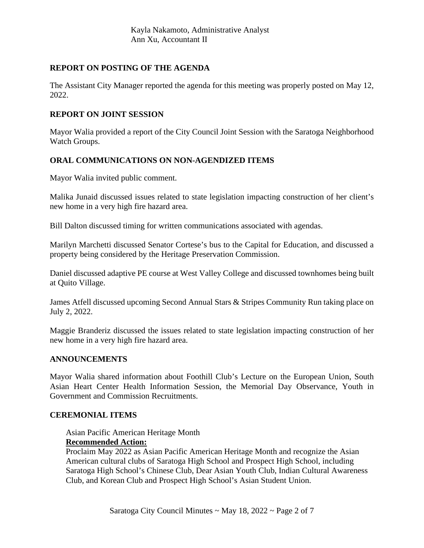## **REPORT ON POSTING OF THE AGENDA**

The Assistant City Manager reported the agenda for this meeting was properly posted on May 12, 2022.

### **REPORT ON JOINT SESSION**

Mayor Walia provided a report of the City Council Joint Session with the Saratoga Neighborhood Watch Groups.

## **ORAL COMMUNICATIONS ON NON-AGENDIZED ITEMS**

Mayor Walia invited public comment.

Malika Junaid discussed issues related to state legislation impacting construction of her client's new home in a very high fire hazard area.

Bill Dalton discussed timing for written communications associated with agendas.

Marilyn Marchetti discussed Senator Cortese's bus to the Capital for Education, and discussed a property being considered by the Heritage Preservation Commission.

Daniel discussed adaptive PE course at West Valley College and discussed townhomes being built at Quito Village.

James Atfell discussed upcoming Second Annual Stars & Stripes Community Run taking place on July 2, 2022.

Maggie Branderiz discussed the issues related to state legislation impacting construction of her new home in a very high fire hazard area.

### **ANNOUNCEMENTS**

Mayor Walia shared information about Foothill Club's Lecture on the European Union, South Asian Heart Center Health Information Session, the Memorial Day Observance, Youth in Government and Commission Recruitments.

### **CEREMONIAL ITEMS**

Asian Pacific American Heritage Month **Recommended Action:**

Proclaim May 2022 as Asian Pacific American Heritage Month and recognize the Asian American cultural clubs of Saratoga High School and Prospect High School, including Saratoga High School's Chinese Club, Dear Asian Youth Club, Indian Cultural Awareness Club, and Korean Club and Prospect High School's Asian Student Union.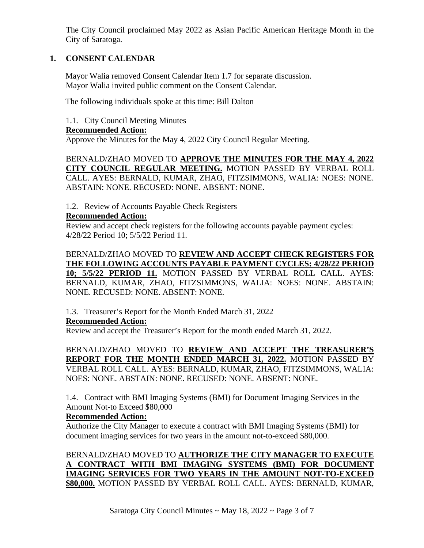The City Council proclaimed May 2022 as Asian Pacific American Heritage Month in the City of Saratoga.

## **1. CONSENT CALENDAR**

Mayor Walia removed Consent Calendar Item 1.7 for separate discussion. Mayor Walia invited public comment on the Consent Calendar.

The following individuals spoke at this time: Bill Dalton

1.1. City Council Meeting Minutes

### **Recommended Action:**

Approve the Minutes for the May 4, 2022 City Council Regular Meeting.

BERNALD/ZHAO MOVED TO **APPROVE THE MINUTES FOR THE MAY 4, 2022 CITY COUNCIL REGULAR MEETING.** MOTION PASSED BY VERBAL ROLL CALL. AYES: BERNALD, KUMAR, ZHAO, FITZSIMMONS, WALIA: NOES: NONE. ABSTAIN: NONE. RECUSED: NONE. ABSENT: NONE.

1.2. Review of Accounts Payable Check Registers

### **Recommended Action:**

Review and accept check registers for the following accounts payable payment cycles: 4/28/22 Period 10; 5/5/22 Period 11.

BERNALD/ZHAO MOVED TO **REVIEW AND ACCEPT CHECK REGISTERS FOR THE FOLLOWING ACCOUNTS PAYABLE PAYMENT CYCLES: 4/28/22 PERIOD 10; 5/5/22 PERIOD 11.** MOTION PASSED BY VERBAL ROLL CALL. AYES: BERNALD, KUMAR, ZHAO, FITZSIMMONS, WALIA: NOES: NONE. ABSTAIN: NONE. RECUSED: NONE. ABSENT: NONE.

1.3. Treasurer's Report for the Month Ended March 31, 2022

## **Recommended Action:**

Review and accept the Treasurer's Report for the month ended March 31, 2022.

BERNALD/ZHAO MOVED TO **REVIEW AND ACCEPT THE TREASURER'S REPORT FOR THE MONTH ENDED MARCH 31, 2022.** MOTION PASSED BY VERBAL ROLL CALL. AYES: BERNALD, KUMAR, ZHAO, FITZSIMMONS, WALIA: NOES: NONE. ABSTAIN: NONE. RECUSED: NONE. ABSENT: NONE.

1.4. Contract with BMI Imaging Systems (BMI) for Document Imaging Services in the Amount Not-to Exceed \$80,000

## **Recommended Action:**

Authorize the City Manager to execute a contract with BMI Imaging Systems (BMI) for document imaging services for two years in the amount not-to-exceed \$80,000.

BERNALD/ZHAO MOVED TO **AUTHORIZE THE CITY MANAGER TO EXECUTE A CONTRACT WITH BMI IMAGING SYSTEMS (BMI) FOR DOCUMENT IMAGING SERVICES FOR TWO YEARS IN THE AMOUNT NOT-TO-EXCEED \$80,000.** MOTION PASSED BY VERBAL ROLL CALL. AYES: BERNALD, KUMAR,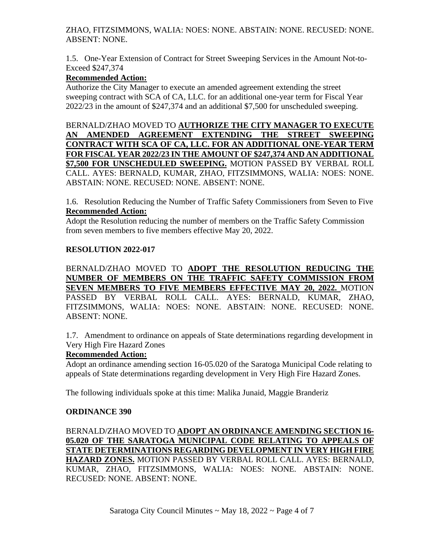## ZHAO, FITZSIMMONS, WALIA: NOES: NONE. ABSTAIN: NONE. RECUSED: NONE. ABSENT: NONE.

1.5. One-Year Extension of Contract for Street Sweeping Services in the Amount Not-to-Exceed \$247,374

# **Recommended Action:**

Authorize the City Manager to execute an amended agreement extending the street sweeping contract with SCA of CA, LLC. for an additional one-year term for Fiscal Year 2022/23 in the amount of \$247,374 and an additional \$7,500 for unscheduled sweeping.

BERNALD/ZHAO MOVED TO **AUTHORIZE THE CITY MANAGER TO EXECUTE AN AMENDED AGREEMENT EXTENDING THE STREET SWEEPING CONTRACT WITH SCA OF CA, LLC. FOR AN ADDITIONAL ONE-YEAR TERM FOR FISCAL YEAR 2022/23 IN THE AMOUNT OF \$247,374 AND AN ADDITIONAL \$7,500 FOR UNSCHEDULED SWEEPING.** MOTION PASSED BY VERBAL ROLL CALL. AYES: BERNALD, KUMAR, ZHAO, FITZSIMMONS, WALIA: NOES: NONE. ABSTAIN: NONE. RECUSED: NONE. ABSENT: NONE.

1.6. Resolution Reducing the Number of Traffic Safety Commissioners from Seven to Five **Recommended Action:**

Adopt the Resolution reducing the number of members on the Traffic Safety Commission from seven members to five members effective May 20, 2022.

## **RESOLUTION 2022-017**

BERNALD/ZHAO MOVED TO **ADOPT THE RESOLUTION REDUCING THE NUMBER OF MEMBERS ON THE TRAFFIC SAFETY COMMISSION FROM SEVEN MEMBERS TO FIVE MEMBERS EFFECTIVE MAY 20, 2022.** MOTION PASSED BY VERBAL ROLL CALL. AYES: BERNALD, KUMAR, ZHAO, FITZSIMMONS, WALIA: NOES: NONE. ABSTAIN: NONE. RECUSED: NONE. ABSENT: NONE.

1.7. Amendment to ordinance on appeals of State determinations regarding development in Very High Fire Hazard Zones

## **Recommended Action:**

Adopt an ordinance amending section 16-05.020 of the Saratoga Municipal Code relating to appeals of State determinations regarding development in Very High Fire Hazard Zones.

The following individuals spoke at this time: Malika Junaid, Maggie Branderiz

## **ORDINANCE 390**

BERNALD/ZHAO MOVED TO **ADOPT AN ORDINANCE AMENDING SECTION 16- 05.020 OF THE SARATOGA MUNICIPAL CODE RELATING TO APPEALS OF STATE DETERMINATIONS REGARDING DEVELOPMENT IN VERY HIGH FIRE HAZARD ZONES.** MOTION PASSED BY VERBAL ROLL CALL. AYES: BERNALD, KUMAR, ZHAO, FITZSIMMONS, WALIA: NOES: NONE. ABSTAIN: NONE. RECUSED: NONE. ABSENT: NONE.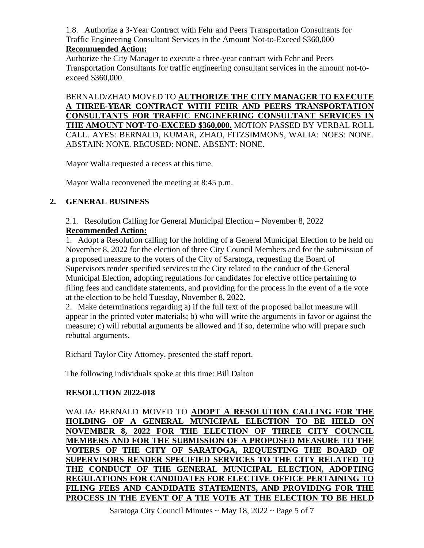1.8. Authorize a 3-Year Contract with Fehr and Peers Transportation Consultants for Traffic Engineering Consultant Services in the Amount Not-to-Exceed \$360,000

## **Recommended Action:**

Authorize the City Manager to execute a three-year contract with Fehr and Peers Transportation Consultants for traffic engineering consultant services in the amount not-toexceed \$360,000.

BERNALD/ZHAO MOVED TO **AUTHORIZE THE CITY MANAGER TO EXECUTE A THREE-YEAR CONTRACT WITH FEHR AND PEERS TRANSPORTATION CONSULTANTS FOR TRAFFIC ENGINEERING CONSULTANT SERVICES IN THE AMOUNT NOT-TO-EXCEED \$360,000.** MOTION PASSED BY VERBAL ROLL CALL. AYES: BERNALD, KUMAR, ZHAO, FITZSIMMONS, WALIA: NOES: NONE. ABSTAIN: NONE. RECUSED: NONE. ABSENT: NONE.

Mayor Walia requested a recess at this time.

Mayor Walia reconvened the meeting at 8:45 p.m.

# **2. GENERAL BUSINESS**

2.1. Resolution Calling for General Municipal Election – November 8, 2022 **Recommended Action:**

1. Adopt a Resolution calling for the holding of a General Municipal Election to be held on November 8, 2022 for the election of three City Council Members and for the submission of a proposed measure to the voters of the City of Saratoga, requesting the Board of Supervisors render specified services to the City related to the conduct of the General Municipal Election, adopting regulations for candidates for elective office pertaining to filing fees and candidate statements, and providing for the process in the event of a tie vote at the election to be held Tuesday, November 8, 2022.

2. Make determinations regarding a) if the full text of the proposed ballot measure will appear in the printed voter materials; b) who will write the arguments in favor or against the measure; c) will rebuttal arguments be allowed and if so, determine who will prepare such rebuttal arguments.

Richard Taylor City Attorney, presented the staff report.

The following individuals spoke at this time: Bill Dalton

## **RESOLUTION 2022-018**

WALIA/ BERNALD MOVED TO **ADOPT A RESOLUTION CALLING FOR THE HOLDING OF A GENERAL MUNICIPAL ELECTION TO BE HELD ON NOVEMBER 8, 2022 FOR THE ELECTION OF THREE CITY COUNCIL MEMBERS AND FOR THE SUBMISSION OF A PROPOSED MEASURE TO THE VOTERS OF THE CITY OF SARATOGA, REQUESTING THE BOARD OF SUPERVISORS RENDER SPECIFIED SERVICES TO THE CITY RELATED TO THE CONDUCT OF THE GENERAL MUNICIPAL ELECTION, ADOPTING REGULATIONS FOR CANDIDATES FOR ELECTIVE OFFICE PERTAINING TO FILING FEES AND CANDIDATE STATEMENTS, AND PROVIDING FOR THE PROCESS IN THE EVENT OF A TIE VOTE AT THE ELECTION TO BE HELD**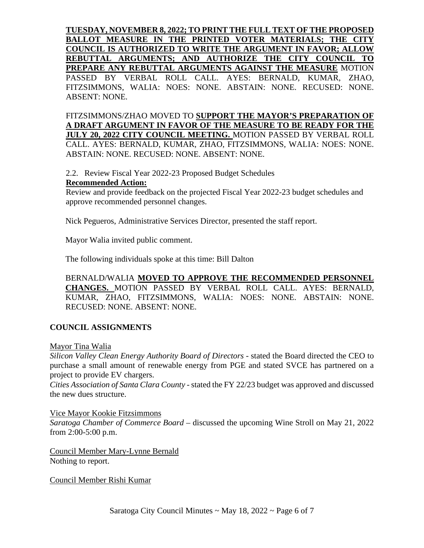**TUESDAY, NOVEMBER 8, 2022; TO PRINT THE FULL TEXT OF THE PROPOSED BALLOT MEASURE IN THE PRINTED VOTER MATERIALS; THE CITY COUNCIL IS AUTHORIZED TO WRITE THE ARGUMENT IN FAVOR; ALLOW REBUTTAL ARGUMENTS; AND AUTHORIZE THE CITY COUNCIL TO PREPARE ANY REBUTTAL ARGUMENTS AGAINST THE MEASURE** MOTION PASSED BY VERBAL ROLL CALL. AYES: BERNALD, KUMAR, ZHAO, FITZSIMMONS, WALIA: NOES: NONE. ABSTAIN: NONE. RECUSED: NONE. ABSENT: NONE.

FITZSIMMONS/ZHAO MOVED TO **SUPPORT THE MAYOR'S PREPARATION OF A DRAFT ARGUMENT IN FAVOR OF THE MEASURE TO BE READY FOR THE JULY 20, 2022 CITY COUNCIL MEETING.** MOTION PASSED BY VERBAL ROLL CALL. AYES: BERNALD, KUMAR, ZHAO, FITZSIMMONS, WALIA: NOES: NONE. ABSTAIN: NONE. RECUSED: NONE. ABSENT: NONE.

2.2. Review Fiscal Year 2022-23 Proposed Budget Schedules **Recommended Action:**

Review and provide feedback on the projected Fiscal Year 2022-23 budget schedules and approve recommended personnel changes.

Nick Pegueros, Administrative Services Director, presented the staff report.

Mayor Walia invited public comment.

The following individuals spoke at this time: Bill Dalton

BERNALD/WALIA **MOVED TO APPROVE THE RECOMMENDED PERSONNEL CHANGES.** MOTION PASSED BY VERBAL ROLL CALL. AYES: BERNALD, KUMAR, ZHAO, FITZSIMMONS, WALIA: NOES: NONE. ABSTAIN: NONE. RECUSED: NONE. ABSENT: NONE.

### **COUNCIL ASSIGNMENTS**

Mayor Tina Walia

*Silicon Valley Clean Energy Authority Board of Directors* - stated the Board directed the CEO to purchase a small amount of renewable energy from PGE and stated SVCE has partnered on a project to provide EV chargers.

*Cities Association of Santa Clara County* - stated the FY 22/23 budget was approved and discussed the new dues structure.

#### Vice Mayor Kookie Fitzsimmons

*Saratoga Chamber of Commerce Board* – discussed the upcoming Wine Stroll on May 21, 2022 from 2:00-5:00 p.m.

Council Member Mary-Lynne Bernald Nothing to report.

Council Member Rishi Kumar